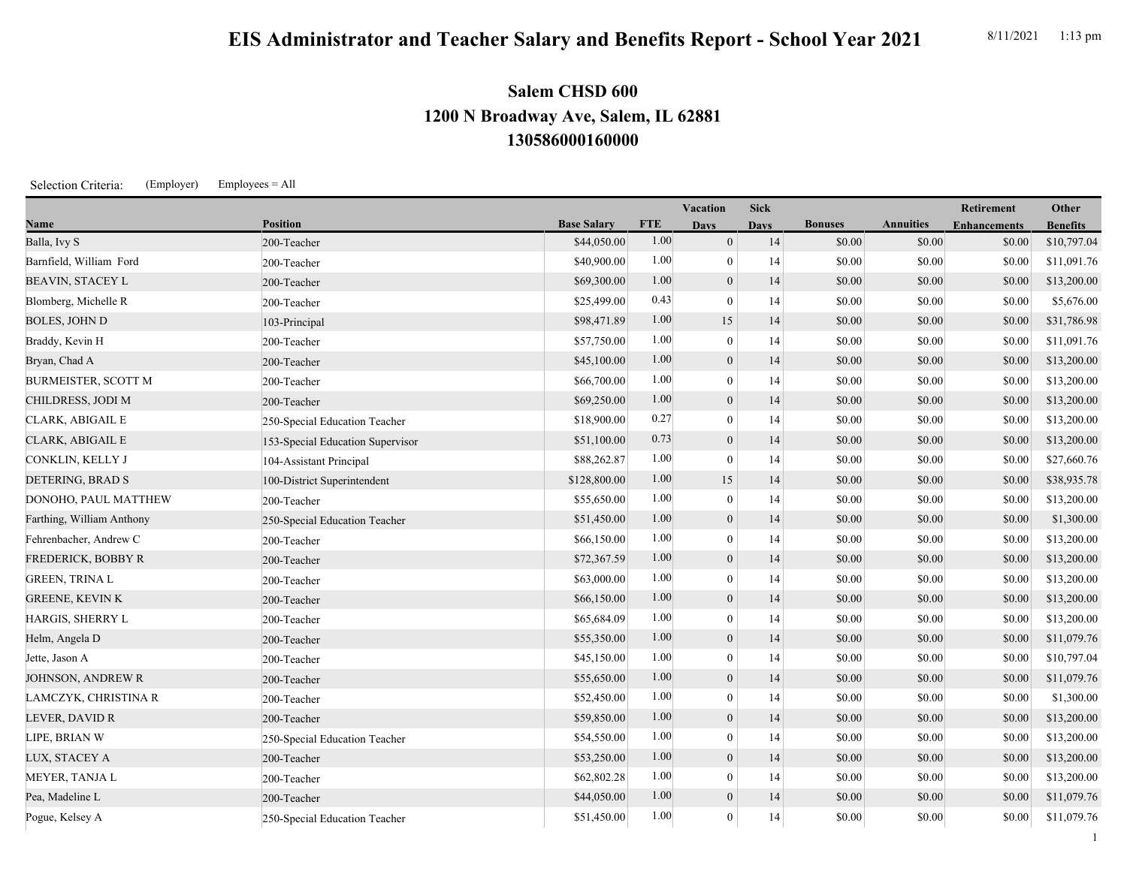## **EIS Administrator and Teacher Salary and Benefits Report - School Year 2021** 8/11/2021 1:13 pm

## **130586000160000 1200 N Broadway Ave, Salem, IL 62881 Salem CHSD 600**

Selection Criteria: (Employer) Employees = All

|                            |                                  |                    | <b>Vacation</b> |                | <b>Sick</b> |                |                  | Retirement          | Other           |
|----------------------------|----------------------------------|--------------------|-----------------|----------------|-------------|----------------|------------------|---------------------|-----------------|
| Name                       | <b>Position</b>                  | <b>Base Salary</b> | <b>FTE</b>      | <b>Days</b>    | <b>Days</b> | <b>Bonuses</b> | <b>Annuities</b> | <b>Enhancements</b> | <b>Benefits</b> |
| Balla, Ivy S               | 200-Teacher                      | \$44,050.00        | 1.00            | $\mathbf{0}$   | 14          | \$0.00         | \$0.00           | \$0.00              | \$10,797.04     |
| Barnfield, William Ford    | 200-Teacher                      | \$40,900.00        | 1.00            | $\mathbf{0}$   | 14          | \$0.00         | \$0.00           | \$0.00              | \$11,091.76     |
| <b>BEAVIN, STACEY L</b>    | 200-Teacher                      | \$69,300.00        | 1.00            | $\overline{0}$ | 14          | \$0.00         | \$0.00           | \$0.00              | \$13,200.00     |
| Blomberg, Michelle R       | 200-Teacher                      | \$25,499.00        | 0.43            |                | 14          | \$0.00         | \$0.00           | \$0.00              | \$5,676.00      |
| <b>BOLES, JOHN D</b>       | 103-Principal                    | \$98,471.89        | 1.00            | 15             | 14          | \$0.00         | \$0.00           | \$0.00              | \$31,786.98     |
| Braddy, Kevin H            | 200-Teacher                      | \$57,750.00        | 1.00            | $\mathbf{0}$   | 14          | \$0.00         | \$0.00           | \$0.00              | \$11,091.76     |
| Bryan, Chad A              | 200-Teacher                      | \$45,100.00        | 1.00            | $\mathbf{0}$   | 14          | \$0.00         | \$0.00           | \$0.00              | \$13,200.00     |
| <b>BURMEISTER, SCOTT M</b> | 200-Teacher                      | \$66,700.00        | 1.00            | $\mathbf{0}$   | 14          | \$0.00         | \$0.00           | \$0.00              | \$13,200.00     |
| CHILDRESS, JODI M          | 200-Teacher                      | \$69,250.00        | 1.00            | $\mathbf{0}$   | 14          | \$0.00         | \$0.00           | \$0.00              | \$13,200.00     |
| CLARK, ABIGAIL E           | 250-Special Education Teacher    | \$18,900.00        | 0.27            | $\mathbf{0}$   | 14          | \$0.00         | \$0.00           | \$0.00              | \$13,200.00     |
| CLARK, ABIGAIL E           | 153-Special Education Supervisor | \$51,100.00        | 0.73            | $\theta$       | 14          | \$0.00         | \$0.00           | \$0.00              | \$13,200.00     |
| CONKLIN, KELLY J           | 104-Assistant Principal          | \$88,262.87        | 1.00            | $\Omega$       | 14          | \$0.00         | \$0.00           | \$0.00              | \$27,660.76     |
| DETERING, BRAD S           | 100-District Superintendent      | \$128,800.00       | 1.00            | 15             | 14          | \$0.00         | \$0.00           | \$0.00              | \$38,935.78     |
| DONOHO, PAUL MATTHEW       | 200-Teacher                      | \$55,650.00        | 1.00            | $\theta$       | 14          | \$0.00         | \$0.00           | \$0.00              | \$13,200.00     |
| Farthing, William Anthony  | 250-Special Education Teacher    | \$51,450.00        | 1.00            | $\mathbf{0}$   | 14          | \$0.00         | \$0.00           | \$0.00              | \$1,300.00      |
| Fehrenbacher, Andrew C     | 200-Teacher                      | \$66,150.00        | 1.00            | $\mathbf{0}$   | 14          | \$0.00         | \$0.00           | \$0.00              | \$13,200.00     |
| FREDERICK, BOBBY R         | 200-Teacher                      | \$72,367.59        | 1.00            | $\overline{0}$ | 14          | \$0.00         | \$0.00           | \$0.00              | \$13,200.00     |
| <b>GREEN, TRINA L</b>      | 200-Teacher                      | \$63,000.00        | 1.00            | $\theta$       | 14          | \$0.00         | \$0.00           | \$0.00              | \$13,200.00     |
| <b>GREENE, KEVIN K</b>     | 200-Teacher                      | \$66,150.00        | 1.00            | $\theta$       | 14          | \$0.00         | \$0.00           | \$0.00              | \$13,200.00     |
| HARGIS, SHERRY L           | 200-Teacher                      | \$65,684.09        | 1.00            | $\left($       | 14          | \$0.00         | \$0.00           | \$0.00              | \$13,200.00     |
| Helm, Angela D             | 200-Teacher                      | \$55,350.00        | 1.00            | $\mathbf{0}$   | 14          | \$0.00         | \$0.00           | \$0.00              | \$11,079.76     |
| Jette, Jason A             | 200-Teacher                      | \$45,150.00        | 1.00            | $\mathbf{0}$   | 14          | \$0.00         | \$0.00           | \$0.00              | \$10,797.04     |
| JOHNSON, ANDREW R          | 200-Teacher                      | \$55,650.00        | 1.00            | $\mathbf{0}$   | 14          | \$0.00         | \$0.00           | \$0.00              | \$11,079.76     |
| LAMCZYK, CHRISTINA R       | 200-Teacher                      | \$52,450.00        | 1.00            | $\mathbf{0}$   | 14          | \$0.00         | \$0.00           | \$0.00              | \$1,300.00      |
| LEVER, DAVID R             | 200-Teacher                      | \$59,850.00        | 1.00            | $\mathbf{0}$   | 14          | \$0.00         | \$0.00           | \$0.00              | \$13,200.00     |
| LIPE, BRIAN W              | 250-Special Education Teacher    | \$54,550.00        | 1.00            |                | 14          | \$0.00         | \$0.00           | \$0.00              | \$13,200.00     |
| LUX, STACEY A              | 200-Teacher                      | \$53,250.00        | 1.00            | $\theta$       | 14          | \$0.00         | \$0.00           | \$0.00              | \$13,200.00     |

MEYER, TANJA L 200-Teacher \$62,802.28 1.00 0 14 \$0.00 \$0.00 \$0.00 \$13,200.00 Pea, Madeline L 200-Teacher 200-Teacher 200-Teacher 200-Teacher 200-Teacher 200-Teacher 200-Teacher 200-Teacher Pogue, Kelsey A 250-Special Education Teacher \$51,450.00 1.00 0 14 \$0.00 \$0.00 \$0.00 \$0.00 \$11,079.76